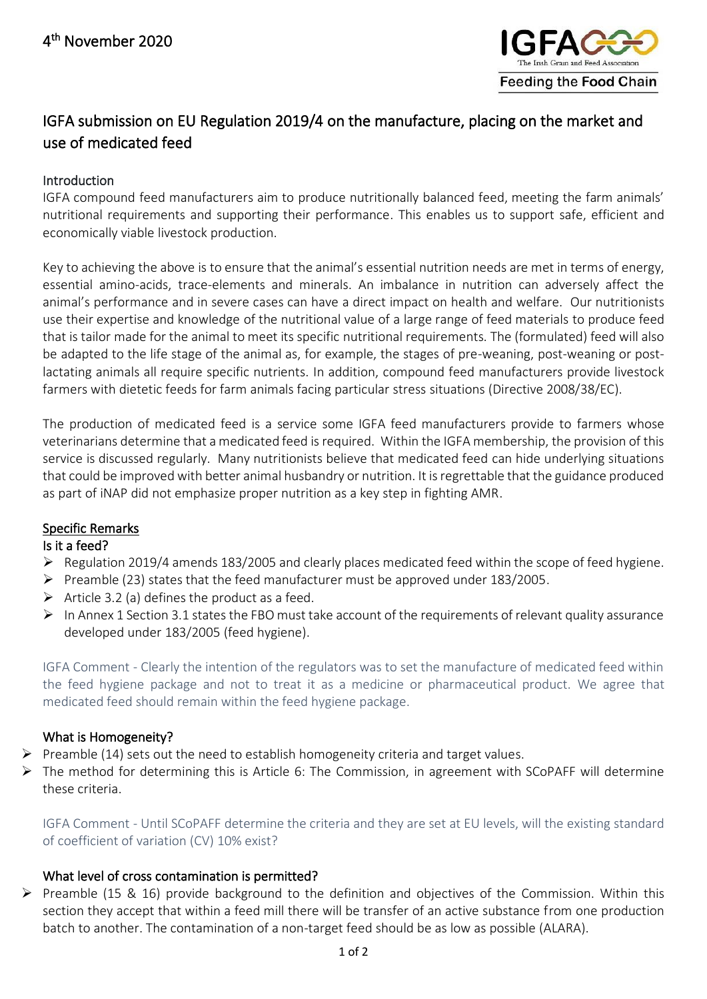

# IGFA submission on EU Regulation 2019/4 on the manufacture, placing on the market and use of medicated feed

## Introduction

IGFA compound feed manufacturers aim to produce nutritionally balanced feed, meeting the farm animals' nutritional requirements and supporting their performance. This enables us to support safe, efficient and economically viable livestock production.

Key to achieving the above is to ensure that the animal's essential nutrition needs are met in terms of energy, essential amino-acids, trace-elements and minerals. An imbalance in nutrition can adversely affect the animal's performance and in severe cases can have a direct impact on health and welfare. Our nutritionists use their expertise and knowledge of the nutritional value of a large range of feed materials to produce feed that is tailor made for the animal to meet its specific nutritional requirements. The (formulated) feed will also be adapted to the life stage of the animal as, for example, the stages of pre-weaning, post-weaning or postlactating animals all require specific nutrients. In addition, compound feed manufacturers provide livestock farmers with dietetic feeds for farm animals facing particular stress situations (Directive 2008/38/EC).

The production of medicated feed is a service some IGFA feed manufacturers provide to farmers whose veterinarians determine that a medicated feed is required. Within the IGFA membership, the provision of this service is discussed regularly. Many nutritionists believe that medicated feed can hide underlying situations that could be improved with better animal husbandry or nutrition. It is regrettable that the guidance produced as part of iNAP did not emphasize proper nutrition as a key step in fighting AMR.

## Specific Remarks

#### Is it a feed?

- $\triangleright$  Regulation 2019/4 amends 183/2005 and clearly places medicated feed within the scope of feed hygiene.
- $\triangleright$  Preamble (23) states that the feed manufacturer must be approved under 183/2005.
- $\triangleright$  Article 3.2 (a) defines the product as a feed.
- ➢ In Annex 1 Section 3.1 states the FBO must take account of the requirements of relevant quality assurance developed under 183/2005 (feed hygiene).

IGFA Comment - Clearly the intention of the regulators was to set the manufacture of medicated feed within the feed hygiene package and not to treat it as a medicine or pharmaceutical product. We agree that medicated feed should remain within the feed hygiene package.

## What is Homogeneity?

- $\triangleright$  Preamble (14) sets out the need to establish homogeneity criteria and target values.
- ➢ The method for determining this is Article 6: The Commission, in agreement with SCoPAFF will determine these criteria.

IGFA Comment - Until SCoPAFF determine the criteria and they are set at EU levels, will the existing standard of coefficient of variation (CV) 10% exist?

#### What level of cross contamination is permitted?

➢ Preamble (15 & 16) provide background to the definition and objectives of the Commission. Within this section they accept that within a feed mill there will be transfer of an active substance from one production batch to another. The contamination of a non-target feed should be as low as possible (ALARA).